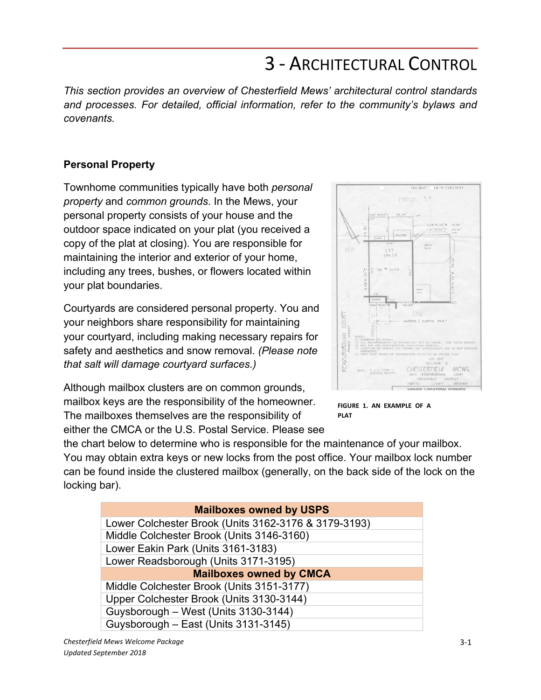# 3 - ARCHITECTURAL CONTROL

*This section provides an overview of Chesterfield Mews' architectural control standards and processes. For detailed, official information, refer to the community's bylaws and covenants.* 

## **Personal Property**

Townhome communities typically have both *personal property* and *common grounds*. In the Mews, your personal property consists of your house and the outdoor space indicated on your plat (you received a copy of the plat at closing). You are responsible for maintaining the interior and exterior of your home, including any trees, bushes, or flowers located within your plat boundaries.

Courtyards are considered personal property. You and your neighbors share responsibility for maintaining your courtyard, including making necessary repairs for safety and aesthetics and snow removal. *(Please note that salt will damage courtyard surfaces.)*

Although mailbox clusters are on common grounds, mailbox keys are the responsibility of the homeowner. The mailboxes themselves are the responsibility of either the CMCA or the U.S. Postal Service. Please see



**FIGURE 1. AN EXAMPLE OF A PLAT**

the chart below to determine who is responsible for the maintenance of your mailbox. You may obtain extra keys or new locks from the post office. Your mailbox lock number can be found inside the clustered mailbox (generally, on the back side of the lock on the locking bar).

| <b>Mailboxes owned by USPS</b>                       |
|------------------------------------------------------|
| Lower Colchester Brook (Units 3162-3176 & 3179-3193) |
| Middle Colchester Brook (Units 3146-3160)            |
| Lower Eakin Park (Units 3161-3183)                   |
| Lower Readsborough (Units 3171-3195)                 |
| <b>Mailboxes owned by CMCA</b>                       |
| Middle Colchester Brook (Units 3151-3177)            |
| Upper Colchester Brook (Units 3130-3144)             |
| Guysborough - West (Units 3130-3144)                 |
| Guysborough - East (Units 3131-3145)                 |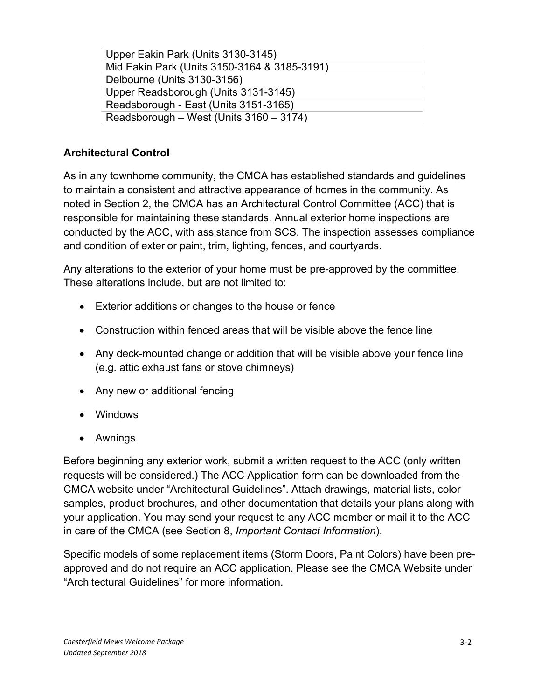| Upper Eakin Park (Units 3130-3145)           |
|----------------------------------------------|
| Mid Eakin Park (Units 3150-3164 & 3185-3191) |
| Delbourne (Units 3130-3156)                  |
| Upper Readsborough (Units 3131-3145)         |
| Readsborough - East (Units 3151-3165)        |
| Readsborough – West (Units 3160 – 3174)      |

## **Architectural Control**

As in any townhome community, the CMCA has established standards and guidelines to maintain a consistent and attractive appearance of homes in the community. As noted in Section 2, the CMCA has an Architectural Control Committee (ACC) that is responsible for maintaining these standards. Annual exterior home inspections are conducted by the ACC, with assistance from SCS. The inspection assesses compliance and condition of exterior paint, trim, lighting, fences, and courtyards.

Any alterations to the exterior of your home must be pre-approved by the committee. These alterations include, but are not limited to:

- Exterior additions or changes to the house or fence
- Construction within fenced areas that will be visible above the fence line
- Any deck-mounted change or addition that will be visible above your fence line (e.g. attic exhaust fans or stove chimneys)
- Any new or additional fencing
- Windows
- Awnings

Before beginning any exterior work, submit a written request to the ACC (only written requests will be considered.) The ACC Application form can be downloaded from the CMCA website under "Architectural Guidelines". Attach drawings, material lists, color samples, product brochures, and other documentation that details your plans along with your application. You may send your request to any ACC member or mail it to the ACC in care of the CMCA (see Section 8, *Important Contact Information*).

Specific models of some replacement items (Storm Doors, Paint Colors) have been preapproved and do not require an ACC application. Please see the CMCA Website under "Architectural Guidelines" for more information.